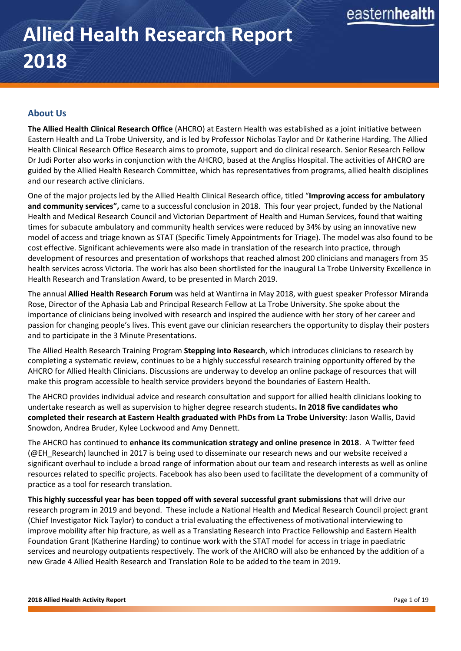# **Allied Health Research Report 2018**

# **About Us**

**The Allied Health Clinical Research Office** (AHCRO) at Eastern Health was established as a joint initiative between Eastern Health and La Trobe University, and is led by Professor Nicholas Taylor and Dr Katherine Harding. The Allied Health Clinical Research Office Research aims to promote, support and do clinical research. Senior Research Fellow Dr Judi Porter also works in conjunction with the AHCRO, based at the Angliss Hospital. The activities of AHCRO are guided by the Allied Health Research Committee, which has representatives from programs, allied health disciplines and our research active clinicians.

One of the major projects led by the Allied Health Clinical Research office, titled "**Improving access for ambulatory and community services",** came to a successful conclusion in 2018. This four year project, funded by the National Health and Medical Research Council and Victorian Department of Health and Human Services, found that waiting times for subacute ambulatory and community health services were reduced by 34% by using an innovative new model of access and triage known as STAT (Specific Timely Appointments for Triage). The model was also found to be cost effective. Significant achievements were also made in translation of the research into practice, through development of resources and presentation of workshops that reached almost 200 clinicians and managers from 35 health services across Victoria. The work has also been shortlisted for the inaugural La Trobe University Excellence in Health Research and Translation Award, to be presented in March 2019.

The annual **Allied Health Research Forum** was held at Wantirna in May 2018, with guest speaker Professor Miranda Rose, Director of the Aphasia Lab and Principal Research Fellow at La Trobe University. She spoke about the importance of clinicians being involved with research and inspired the audience with her story of her career and passion for changing people's lives. This event gave our clinician researchers the opportunity to display their posters and to participate in the 3 Minute Presentations.

The Allied Health Research Training Program **Stepping into Research**, which introduces clinicians to research by completing a systematic review, continues to be a highly successful research training opportunity offered by the AHCRO for Allied Health Clinicians. Discussions are underway to develop an online package of resources that will make this program accessible to health service providers beyond the boundaries of Eastern Health.

The AHCRO provides individual advice and research consultation and support for allied health clinicians looking to undertake research as well as supervision to higher degree research students**. In 2018 five candidates who completed their research at Eastern Health graduated with PhDs from La Trobe University**: Jason Wallis, David Snowdon, Andrea Bruder, Kylee Lockwood and Amy Dennett.

The AHCRO has continued to **enhance its communication strategy and online presence in 2018**. A Twitter feed (@EH\_Research) launched in 2017 is being used to disseminate our research news and our website received a significant overhaul to include a broad range of information about our team and research interests as well as online resources related to specific projects. Facebook has also been used to facilitate the development of a community of practice as a tool for research translation.

**This highly successful year has been topped off with several successful grant submissions** that will drive our research program in 2019 and beyond. These include a National Health and Medical Research Council project grant (Chief Investigator Nick Taylor) to conduct a trial evaluating the effectiveness of motivational interviewing to improve mobility after hip fracture, as well as a Translating Research into Practice Fellowship and Eastern Health Foundation Grant (Katherine Harding) to continue work with the STAT model for access in triage in paediatric services and neurology outpatients respectively. The work of the AHCRO will also be enhanced by the addition of a new Grade 4 Allied Health Research and Translation Role to be added to the team in 2019.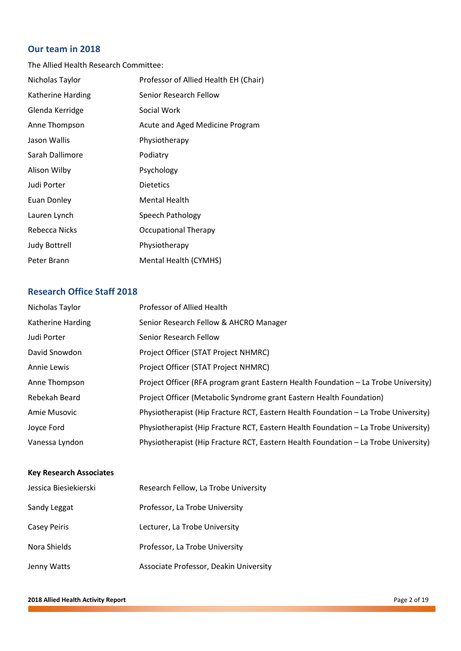# **Our team in 2018**

The Allied Health Research Committee:

| Nicholas Taylor      | Professor of Allied Health EH (Chair) |
|----------------------|---------------------------------------|
| Katherine Harding    | Senior Research Fellow                |
| Glenda Kerridge      | Social Work                           |
| Anne Thompson        | Acute and Aged Medicine Program       |
| Jason Wallis         | Physiotherapy                         |
| Sarah Dallimore      | Podiatry                              |
| Alison Wilby         | Psychology                            |
| Judi Porter          | <b>Dietetics</b>                      |
| Euan Donley          | <b>Mental Health</b>                  |
| Lauren Lynch         | Speech Pathology                      |
| Rebecca Nicks        | <b>Occupational Therapy</b>           |
| <b>Judy Bottrell</b> | Physiotherapy                         |
| Peter Brann          | Mental Health (CYMHS)                 |

# **Research Office Staff 2018**

| Nicholas Taylor          | Professor of Allied Health                                                          |
|--------------------------|-------------------------------------------------------------------------------------|
| <b>Katherine Harding</b> | Senior Research Fellow & AHCRO Manager                                              |
| Judi Porter              | Senior Research Fellow                                                              |
| David Snowdon            | Project Officer (STAT Project NHMRC)                                                |
| Annie Lewis              | Project Officer (STAT Project NHMRC)                                                |
| Anne Thompson            | Project Officer (RFA program grant Eastern Health Foundation – La Trobe University) |
| Rebekah Beard            | Project Officer (Metabolic Syndrome grant Eastern Health Foundation)                |
| Amie Musovic             | Physiotherapist (Hip Fracture RCT, Eastern Health Foundation - La Trobe University) |
| Joyce Ford               | Physiotherapist (Hip Fracture RCT, Eastern Health Foundation - La Trobe University) |
| Vanessa Lyndon           | Physiotherapist (Hip Fracture RCT, Eastern Health Foundation - La Trobe University) |

# **Key Research Associates**

| Jessica Biesiekierski | Research Fellow, La Trobe University   |
|-----------------------|----------------------------------------|
| Sandy Leggat          | Professor, La Trobe University         |
| <b>Casey Peiris</b>   | Lecturer, La Trobe University          |
| Nora Shields          | Professor, La Trobe University         |
| Jenny Watts           | Associate Professor, Deakin University |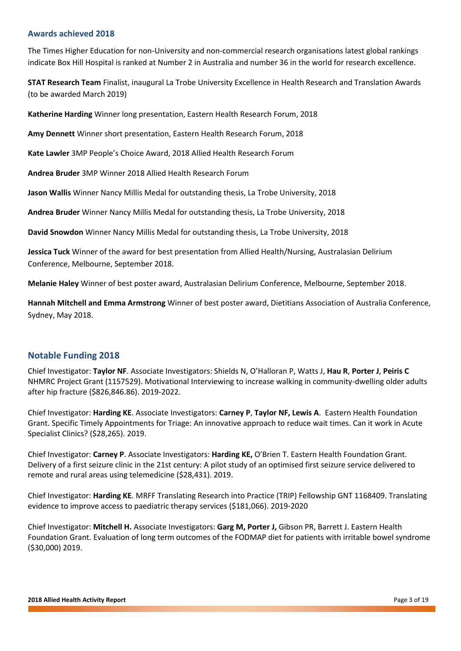#### **Awards achieved 2018**

The Times Higher Education for non-University and non-commercial research organisations latest global rankings indicate Box Hill Hospital is ranked at Number 2 in Australia and number 36 in the world for research excellence.

**STAT Research Team** Finalist, inaugural La Trobe University Excellence in Health Research and Translation Awards (to be awarded March 2019)

**Katherine Harding** Winner long presentation, Eastern Health Research Forum, 2018

**Amy Dennett** Winner short presentation, Eastern Health Research Forum, 2018

**Kate Lawler** 3MP People's Choice Award, 2018 Allied Health Research Forum

**Andrea Bruder** 3MP Winner 2018 Allied Health Research Forum

**Jason Wallis** Winner Nancy Millis Medal for outstanding thesis, La Trobe University, 2018

**Andrea Bruder** Winner Nancy Millis Medal for outstanding thesis, La Trobe University, 2018

**David Snowdon** Winner Nancy Millis Medal for outstanding thesis, La Trobe University, 2018

**Jessica Tuck** Winner of the award for best presentation from Allied Health/Nursing, Australasian Delirium Conference, Melbourne, September 2018.

**Melanie Haley** Winner of best poster award, Australasian Delirium Conference, Melbourne, September 2018.

**Hannah Mitchell and Emma Armstrong** Winner of best poster award, Dietitians Association of Australia Conference, Sydney, May 2018.

## **Notable Funding 2018**

Chief Investigator: **Taylor NF**. Associate Investigators: Shields N, O'Halloran P, Watts J, **Hau R**, **Porter J**, **Peiris C** NHMRC Project Grant (1157529). Motivational Interviewing to increase walking in community-dwelling older adults after hip fracture (\$826,846.86). 2019-2022.

Chief Investigator: **Harding KE**. Associate Investigators: **Carney P**, **Taylor NF, Lewis A**. Eastern Health Foundation Grant. Specific Timely Appointments for Triage: An innovative approach to reduce wait times. Can it work in Acute Specialist Clinics? (\$28,265). 2019.

Chief Investigator: **Carney P**. Associate Investigators: **Harding KE,** O'Brien T. Eastern Health Foundation Grant. Delivery of a first seizure clinic in the 21st century: A pilot study of an optimised first seizure service delivered to remote and rural areas using telemedicine (\$28,431). 2019.

Chief Investigator: **Harding KE**. MRFF Translating Research into Practice (TRIP) Fellowship GNT 1168409. Translating evidence to improve access to paediatric therapy services (\$181,066). 2019-2020

Chief Investigator: **Mitchell H.** Associate Investigators: **Garg M, Porter J,** Gibson PR, Barrett J. Eastern Health Foundation Grant. Evaluation of long term outcomes of the FODMAP diet for patients with irritable bowel syndrome (\$30,000) 2019.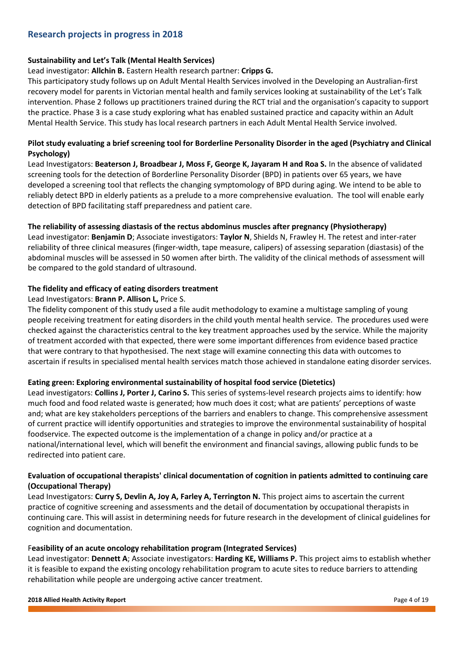# **Research projects in progress in 2018**

#### **Sustainability and Let's Talk (Mental Health Services)**

#### Lead investigator: **Allchin B.** Eastern Health research partner: **Cripps G.**

This participatory study follows up on Adult Mental Health Services involved in the Developing an Australian-first recovery model for parents in Victorian mental health and family services looking at sustainability of the Let's Talk intervention. Phase 2 follows up practitioners trained during the RCT trial and the organisation's capacity to support the practice. Phase 3 is a case study exploring what has enabled sustained practice and capacity within an Adult Mental Health Service. This study has local research partners in each Adult Mental Health Service involved.

#### **Pilot study evaluating a brief screening tool for Borderline Personality Disorder in the aged (Psychiatry and Clinical Psychology)**

Lead Investigators: **Beaterson J, Broadbear J, Moss F, George K, Jayaram H and Roa S.** In the absence of validated screening tools for the detection of Borderline Personality Disorder (BPD) in patients over 65 years, we have developed a screening tool that reflects the changing symptomology of BPD during aging. We intend to be able to reliably detect BPD in elderly patients as a prelude to a more comprehensive evaluation. The tool will enable early detection of BPD facilitating staff preparedness and patient care.

#### **The reliability of assessing diastasis of the rectus abdominus muscles after pregnancy (Physiotherapy)**

Lead investigator: **Benjamin D**; Associate investigators: **Taylor N**, Shields N, Frawley H. The retest and inter-rater reliability of three clinical measures (finger-width, tape measure, calipers) of assessing separation (diastasis) of the abdominal muscles will be assessed in 50 women after birth. The validity of the clinical methods of assessment will be compared to the gold standard of ultrasound.

#### **The fidelity and efficacy of eating disorders treatment**

#### Lead Investigators: **Brann P. Allison L,** Price S.

The fidelity component of this study used a file audit methodology to examine a multistage sampling of young people receiving treatment for eating disorders in the child youth mental health service. The procedures used were checked against the characteristics central to the key treatment approaches used by the service. While the majority of treatment accorded with that expected, there were some important differences from evidence based practice that were contrary to that hypothesised. The next stage will examine connecting this data with outcomes to ascertain if results in specialised mental health services match those achieved in standalone eating disorder services.

#### **Eating green: Exploring environmental sustainability of hospital food service (Dietetics)**

Lead investigators: **Collins J, Porter J, Carino S.** This series of systems-level research projects aims to identify: how much food and food related waste is generated; how much does it cost; what are patients' perceptions of waste and; what are key stakeholders perceptions of the barriers and enablers to change. This comprehensive assessment of current practice will identify opportunities and strategies to improve the environmental sustainability of hospital foodservice. The expected outcome is the implementation of a change in policy and/or practice at a national/international level, which will benefit the environment and financial savings, allowing public funds to be redirected into patient care.

#### **Evaluation of occupational therapists' clinical documentation of cognition in patients admitted to continuing care (Occupational Therapy)**

Lead Investigators: **Curry S, Devlin A, Joy A, Farley A, Terrington N.** This project aims to ascertain the current practice of cognitive screening and assessments and the detail of documentation by occupational therapists in continuing care. This will assist in determining needs for future research in the development of clinical guidelines for cognition and documentation.

#### F**easibility of an acute oncology rehabilitation program (Integrated Services)**

Lead investigator: **Dennett A**; Associate investigators: **Harding KE, Williams P.** This project aims to establish whether it is feasible to expand the existing oncology rehabilitation program to acute sites to reduce barriers to attending rehabilitation while people are undergoing active cancer treatment.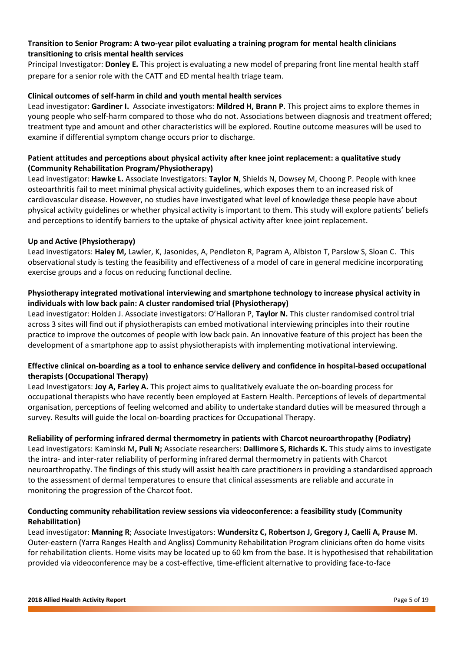#### **Transition to Senior Program: A two-year pilot evaluating a training program for mental health clinicians transitioning to crisis mental health services**

Principal Investigator: **Donley E.** This project is evaluating a new model of preparing front line mental health staff prepare for a senior role with the CATT and ED mental health triage team.

#### **Clinical outcomes of self-harm in child and youth mental health services**

Lead investigator: **Gardiner I.** Associate investigators: **Mildred H, Brann P**. This project aims to explore themes in young people who self-harm compared to those who do not. Associations between diagnosis and treatment offered; treatment type and amount and other characteristics will be explored. Routine outcome measures will be used to examine if differential symptom change occurs prior to discharge.

#### **Patient attitudes and perceptions about physical activity after knee joint replacement: a qualitative study (Community Rehabilitation Program/Physiotherapy)**

Lead investigator: **Hawke L.** Associate Investigators: **Taylor N**, Shields N, Dowsey M, Choong P. People with knee osteoarthritis fail to meet minimal physical activity guidelines, which exposes them to an increased risk of cardiovascular disease. However, no studies have investigated what level of knowledge these people have about physical activity guidelines or whether physical activity is important to them. This study will explore patients' beliefs and perceptions to identify barriers to the uptake of physical activity after knee joint replacement.

#### **Up and Active (Physiotherapy)**

Lead investigators: **Haley M,** Lawler, K, Jasonides, A, Pendleton R, Pagram A, Albiston T, Parslow S, Sloan C. This observational study is testing the feasibility and effectiveness of a model of care in general medicine incorporating exercise groups and a focus on reducing functional decline.

#### **Physiotherapy integrated motivational interviewing and smartphone technology to increase physical activity in individuals with low back pain: A cluster randomised trial (Physiotherapy)**

Lead investigator: Holden J. Associate investigators: O'Halloran P, **Taylor N.** This cluster randomised control trial across 3 sites will find out if physiotherapists can embed motivational interviewing principles into their routine practice to improve the outcomes of people with low back pain. An innovative feature of this project has been the development of a smartphone app to assist physiotherapists with implementing motivational interviewing.

## **Effective clinical on-boarding as a tool to enhance service delivery and confidence in hospital-based occupational therapists (Occupational Therapy)**

Lead Investigators: **Joy A, Farley A.** This project aims to qualitatively evaluate the on-boarding process for occupational therapists who have recently been employed at Eastern Health. Perceptions of levels of departmental organisation, perceptions of feeling welcomed and ability to undertake standard duties will be measured through a survey. Results will guide the local on-boarding practices for Occupational Therapy.

## **Reliability of performing infrared dermal thermometry in patients with Charcot neuroarthropathy (Podiatry)**

Lead investigators: Kaminski M**, Puli N;** Associate researchers: **Dallimore S, Richards K.** This study aims to investigate the intra- and inter-rater reliability of performing infrared dermal thermometry in patients with Charcot neuroarthropathy. The findings of this study will assist health care practitioners in providing a standardised approach to the assessment of dermal temperatures to ensure that clinical assessments are reliable and accurate in monitoring the progression of the Charcot foot.

#### **Conducting community rehabilitation review sessions via videoconference: a feasibility study (Community Rehabilitation)**

Lead investigator: **Manning R**; Associate Investigators: **Wundersitz C, Robertson J, Gregory J, Caelli A, Prause M**. Outer-eastern (Yarra Ranges Health and Angliss) Community Rehabilitation Program clinicians often do home visits for rehabilitation clients. Home visits may be located up to 60 km from the base. It is hypothesised that rehabilitation provided via videoconference may be a cost-effective, time-efficient alternative to providing face-to-face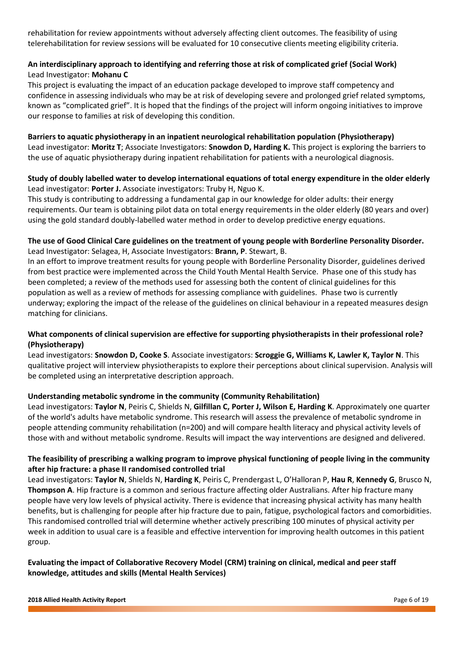rehabilitation for review appointments without adversely affecting client outcomes. The feasibility of using telerehabilitation for review sessions will be evaluated for 10 consecutive clients meeting eligibility criteria.

## **An interdisciplinary approach to identifying and referring those at risk of complicated grief (Social Work)** Lead Investigator: **Mohanu C**

This project is evaluating the impact of an education package developed to improve staff competency and confidence in assessing individuals who may be at risk of developing severe and prolonged grief related symptoms, known as "complicated grief". It is hoped that the findings of the project will inform ongoing initiatives to improve our response to families at risk of developing this condition.

#### **Barriers to aquatic physiotherapy in an inpatient neurological rehabilitation population (Physiotherapy)**

Lead investigator: **Moritz T**; Associate Investigators: **Snowdon D, Harding K.** This project is exploring the barriers to the use of aquatic physiotherapy during inpatient rehabilitation for patients with a neurological diagnosis.

#### **Study of doubly labelled water to develop international equations of total energy expenditure in the older elderly** Lead investigator: **Porter J.** Associate investigators: Truby H, Nguo K.

This study is contributing to addressing a fundamental gap in our knowledge for older adults: their energy requirements. Our team is obtaining pilot data on total energy requirements in the older elderly (80 years and over) using the gold standard doubly-labelled water method in order to develop predictive energy equations.

#### **The use of Good Clinical Care guidelines on the treatment of young people with Borderline Personality Disorder.** Lead Investigator: Selagea, H, Associate Investigators: **Brann, P**. Stewart, B.

In an effort to improve treatment results for young people with Borderline Personality Disorder, guidelines derived from best practice were implemented across the Child Youth Mental Health Service. Phase one of this study has been completed; a review of the methods used for assessing both the content of clinical guidelines for this population as well as a review of methods for assessing compliance with guidelines. Phase two is currently underway; exploring the impact of the release of the guidelines on clinical behaviour in a repeated measures design matching for clinicians.

## **What components of clinical supervision are effective for supporting physiotherapists in their professional role? (Physiotherapy)**

Lead investigators: **Snowdon D, Cooke S**. Associate investigators: **Scroggie G, Williams K, Lawler K, Taylor N**. This qualitative project will interview physiotherapists to explore their perceptions about clinical supervision. Analysis will be completed using an interpretative description approach.

## **Understanding metabolic syndrome in the community (Community Rehabilitation)**

Lead investigators: **Taylor N**, Peiris C, Shields N, **Gilfillan C, Porter J, Wilson E, Harding K**. Approximately one quarter of the world's adults have metabolic syndrome. This research will assess the prevalence of metabolic syndrome in people attending community rehabilitation (n=200) and will compare health literacy and physical activity levels of those with and without metabolic syndrome. Results will impact the way interventions are designed and delivered.

# **The feasibility of prescribing a walking program to improve physical functioning of people living in the community after hip fracture: a phase II randomised controlled trial**

Lead investigators: **Taylor N**, Shields N, **Harding K**, Peiris C, Prendergast L, O'Halloran P, **Hau R**, **Kennedy G**, Brusco N, **Thompson A**. Hip fracture is a common and serious fracture affecting older Australians. After hip fracture many people have very low levels of physical activity. There is evidence that increasing physical activity has many health benefits, but is challenging for people after hip fracture due to pain, fatigue, psychological factors and comorbidities. This randomised controlled trial will determine whether actively prescribing 100 minutes of physical activity per week in addition to usual care is a feasible and effective intervention for improving health outcomes in this patient group.

## **Evaluating the impact of Collaborative Recovery Model (CRM) training on clinical, medical and peer staff knowledge, attitudes and skills (Mental Health Services)**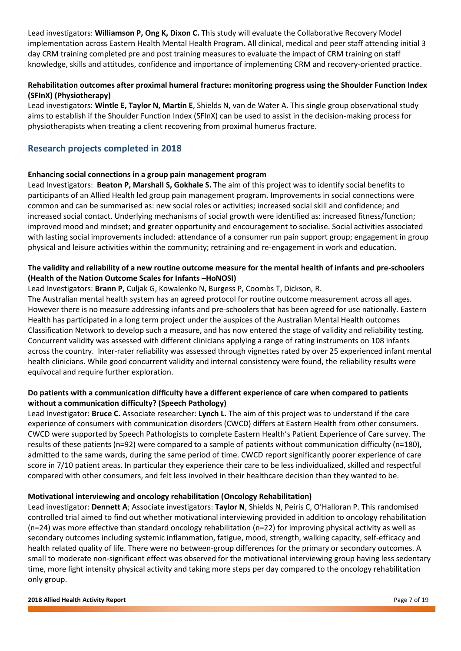Lead investigators: **Williamson P, Ong K, Dixon C.** This study will evaluate the Collaborative Recovery Model implementation across Eastern Health Mental Health Program. All clinical, medical and peer staff attending initial 3 day CRM training completed pre and post training measures to evaluate the impact of CRM training on staff knowledge, skills and attitudes, confidence and importance of implementing CRM and recovery-oriented practice.

# **Rehabilitation outcomes after proximal humeral fracture: monitoring progress using the Shoulder Function Index (SFInX) (Physiotherapy)**

Lead investigators: **Wintle E, Taylor N, Martin E**, Shields N, van de Water A. This single group observational study aims to establish if the Shoulder Function Index (SFInX) can be used to assist in the decision-making process for physiotherapists when treating a client recovering from proximal humerus fracture.

# **Research projects completed in 2018**

#### **Enhancing social connections in a group pain management program**

Lead Investigators: **Beaton P, Marshall S, Gokhale S.** The aim of this project was to identify social benefits to participants of an Allied Health led group pain management program. Improvements in social connections were common and can be summarised as: new social roles or activities; increased social skill and confidence; and increased social contact. Underlying mechanisms of social growth were identified as: increased fitness/function; improved mood and mindset; and greater opportunity and encouragement to socialise. Social activities associated with lasting social improvements included: attendance of a consumer run pain support group; engagement in group physical and leisure activities within the community; retraining and re-engagement in work and education.

## **The validity and reliability of a new routine outcome measure for the mental health of infants and pre-schoolers (Health of the Nation Outcome Scales for Infants –HoNOSI)**

#### Lead Investigators: **Brann P**, Culjak G, Kowalenko N, Burgess P, Coombs T, Dickson, R.

The Australian mental health system has an agreed protocol for routine outcome measurement across all ages. However there is no measure addressing infants and pre-schoolers that has been agreed for use nationally. Eastern Health has participated in a long term project under the auspices of the Australian Mental Health outcomes Classification Network to develop such a measure, and has now entered the stage of validity and reliability testing. Concurrent validity was assessed with different clinicians applying a range of rating instruments on 108 infants across the country. Inter-rater reliability was assessed through vignettes rated by over 25 experienced infant mental health clinicians. While good concurrent validity and internal consistency were found, the reliability results were equivocal and require further exploration.

## **Do patients with a communication difficulty have a different experience of care when compared to patients without a communication difficulty? (Speech Pathology)**

Lead Investigator: **Bruce C.** Associate researcher: **Lynch L.** The aim of this project was to understand if the care experience of consumers with communication disorders (CWCD) differs at Eastern Health from other consumers. CWCD were supported by Speech Pathologists to complete Eastern Health's Patient Experience of Care survey. The results of these patients (n=92) were compared to a sample of patients without communication difficulty (n=180), admitted to the same wards, during the same period of time. CWCD report significantly poorer experience of care score in 7/10 patient areas. In particular they experience their care to be less individualized, skilled and respectful compared with other consumers, and felt less involved in their healthcare decision than they wanted to be.

#### **Motivational interviewing and oncology rehabilitation (Oncology Rehabilitation)**

Lead investigator: **Dennett A**; Associate investigators: **Taylor N**, Shields N, Peiris C, O'Halloran P. This randomised controlled trial aimed to find out whether motivational interviewing provided in addition to oncology rehabilitation (n=24) was more effective than standard oncology rehabilitation (n=22) for improving physical activity as well as secondary outcomes including systemic inflammation, fatigue, mood, strength, walking capacity, self-efficacy and health related quality of life. There were no between-group differences for the primary or secondary outcomes. A small to moderate non-significant effect was observed for the motivational interviewing group having less sedentary time, more light intensity physical activity and taking more steps per day compared to the oncology rehabilitation only group.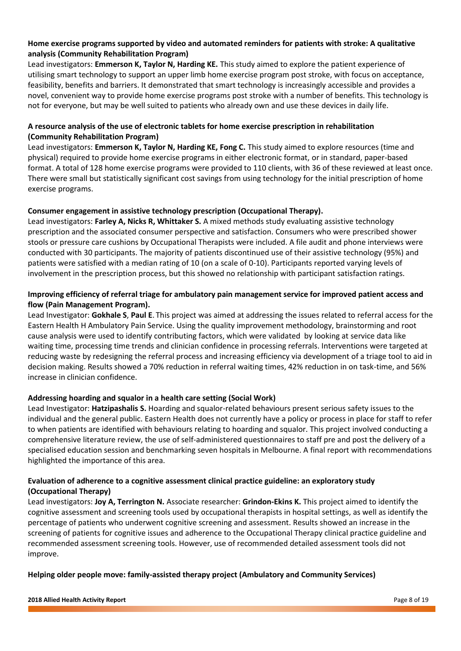#### **Home exercise programs supported by video and automated reminders for patients with stroke: A qualitative analysis (Community Rehabilitation Program)**

Lead investigators: **Emmerson K, Taylor N, Harding KE.** This study aimed to explore the patient experience of utilising smart technology to support an upper limb home exercise program post stroke, with focus on acceptance, feasibility, benefits and barriers. It demonstrated that smart technology is increasingly accessible and provides a novel, convenient way to provide home exercise programs post stroke with a number of benefits. This technology is not for everyone, but may be well suited to patients who already own and use these devices in daily life.

## **A resource analysis of the use of electronic tablets for home exercise prescription in rehabilitation (Community Rehabilitation Program)**

Lead investigators: **Emmerson K, Taylor N, Harding KE, Fong C.** This study aimed to explore resources (time and physical) required to provide home exercise programs in either electronic format, or in standard, paper-based format. A total of 128 home exercise programs were provided to 110 clients, with 36 of these reviewed at least once. There were small but statistically significant cost savings from using technology for the initial prescription of home exercise programs.

#### **Consumer engagement in assistive technology prescription (Occupational Therapy).**

Lead investigators: **Farley A, Nicks R, Whittaker S.** A mixed methods study evaluating assistive technology prescription and the associated consumer perspective and satisfaction. Consumers who were prescribed shower stools or pressure care cushions by Occupational Therapists were included. A file audit and phone interviews were conducted with 30 participants. The majority of patients discontinued use of their assistive technology (95%) and patients were satisfied with a median rating of 10 (on a scale of 0-10). Participants reported varying levels of involvement in the prescription process, but this showed no relationship with participant satisfaction ratings.

#### **Improving efficiency of referral triage for ambulatory pain management service for improved patient access and flow (Pain Management Program).**

Lead Investigator: **Gokhale S**, **Paul E**. This project was aimed at addressing the issues related to referral access for the Eastern Health H Ambulatory Pain Service. Using the quality improvement methodology, brainstorming and root cause analysis were used to identify contributing factors, which were validated by looking at service data like waiting time, processing time trends and clinician confidence in processing referrals. Interventions were targeted at reducing waste by redesigning the referral process and increasing efficiency via development of a triage tool to aid in decision making. Results showed a 70% reduction in referral waiting times, 42% reduction in on task-time, and 56% increase in clinician confidence.

#### **Addressing hoarding and squalor in a health care setting (Social Work)**

Lead Investigator: **Hatzipashalis S.** Hoarding and squalor-related behaviours present serious safety issues to the individual and the general public. Eastern Health does not currently have a policy or process in place for staff to refer to when patients are identified with behaviours relating to hoarding and squalor. This project involved conducting a comprehensive literature review, the use of self-administered questionnaires to staff pre and post the delivery of a specialised education session and benchmarking seven hospitals in Melbourne. A final report with recommendations highlighted the importance of this area.

## **Evaluation of adherence to a cognitive assessment clinical practice guideline: an exploratory study (Occupational Therapy)**

Lead investigators: **Joy A, Terrington N.** Associate researcher: **Grindon-Ekins K.** This project aimed to identify the cognitive assessment and screening tools used by occupational therapists in hospital settings, as well as identify the percentage of patients who underwent cognitive screening and assessment. Results showed an increase in the screening of patients for cognitive issues and adherence to the Occupational Therapy clinical practice guideline and recommended assessment screening tools. However, use of recommended detailed assessment tools did not improve.

#### **Helping older people move: family-assisted therapy project (Ambulatory and Community Services)**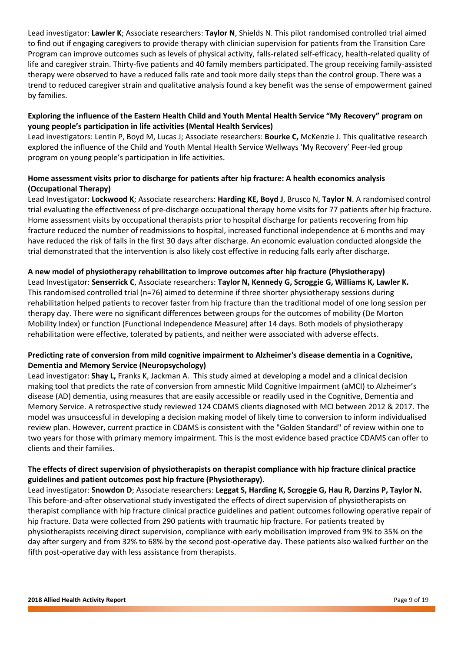Lead investigator: **Lawler K**; Associate researchers: **Taylor N**, Shields N. This pilot randomised controlled trial aimed to find out if engaging caregivers to provide therapy with clinician supervision for patients from the Transition Care Program can improve outcomes such as levels of physical activity, falls-related self-efficacy, health-related quality of life and caregiver strain. Thirty-five patients and 40 family members participated. The group receiving family-assisted therapy were observed to have a reduced falls rate and took more daily steps than the control group. There was a trend to reduced caregiver strain and qualitative analysis found a key benefit was the sense of empowerment gained by families.

## **Exploring the influence of the Eastern Health Child and Youth Mental Health Service "My Recovery" program on young people's participation in life activities (Mental Health Services)**

Lead investigators: Lentin P, Boyd M, Lucas J; Associate researchers: **Bourke C,** McKenzie J. This qualitative research explored the influence of the Child and Youth Mental Health Service Wellways 'My Recovery' Peer-led group program on young people's participation in life activities.

#### **Home assessment visits prior to discharge for patients after hip fracture: A health economics analysis (Occupational Therapy)**

Lead Investigator: **Lockwood K**; Associate researchers: **Harding KE, Boyd J**, Brusco N, **Taylor N**. A randomised control trial evaluating the effectiveness of pre-discharge occupational therapy home visits for 77 patients after hip fracture. Home assessment visits by occupational therapists prior to hospital discharge for patients recovering from hip fracture reduced the number of readmissions to hospital, increased functional independence at 6 months and may have reduced the risk of falls in the first 30 days after discharge. An economic evaluation conducted alongside the trial demonstrated that the intervention is also likely cost effective in reducing falls early after discharge.

#### **A new model of physiotherapy rehabilitation to improve outcomes after hip fracture (Physiotherapy)**

Lead Investigator: **Senserrick C**, Associate researchers: **Taylor N, Kennedy G, Scroggie G, Williams K, Lawler K.** This randomised controlled trial (n=76) aimed to determine if three shorter physiotherapy sessions during rehabilitation helped patients to recover faster from hip fracture than the traditional model of one long session per therapy day. There were no significant differences between groups for the outcomes of mobility (De Morton Mobility Index) or function (Functional Independence Measure) after 14 days. Both models of physiotherapy rehabilitation were effective, tolerated by patients, and neither were associated with adverse effects.

## **Predicting rate of conversion from mild cognitive impairment to Alzheimer's disease dementia in a Cognitive, Dementia and Memory Service (Neuropsychology)**

Lead investigator: **Shay L,** Franks K, Jackman A. This study aimed at developing a model and a clinical decision making tool that predicts the rate of conversion from amnestic Mild Cognitive Impairment (aMCI) to Alzheimer's disease (AD) dementia, using measures that are easily accessible or readily used in the Cognitive, Dementia and Memory Service. A retrospective study reviewed 124 CDAMS clients diagnosed with MCI between 2012 & 2017. The model was unsuccessful in developing a decision making model of likely time to conversion to inform individualised review plan. However, current practice in CDAMS is consistent with the "Golden Standard" of review within one to two years for those with primary memory impairment. This is the most evidence based practice CDAMS can offer to clients and their families.

## **The effects of direct supervision of physiotherapists on therapist compliance with hip fracture clinical practice guidelines and patient outcomes post hip fracture (Physiotherapy).**

Lead investigator: **Snowdon D**; Associate researchers: **Leggat S, Harding K, Scroggie G, Hau R, Darzins P, Taylor N.** This before-and-after observational study investigated the effects of direct supervision of physiotherapists on therapist compliance with hip fracture clinical practice guidelines and patient outcomes following operative repair of hip fracture. Data were collected from 290 patients with traumatic hip fracture. For patients treated by physiotherapists receiving direct supervision, compliance with early mobilisation improved from 9% to 35% on the day after surgery and from 32% to 68% by the second post-operative day. These patients also walked further on the fifth post-operative day with less assistance from therapists.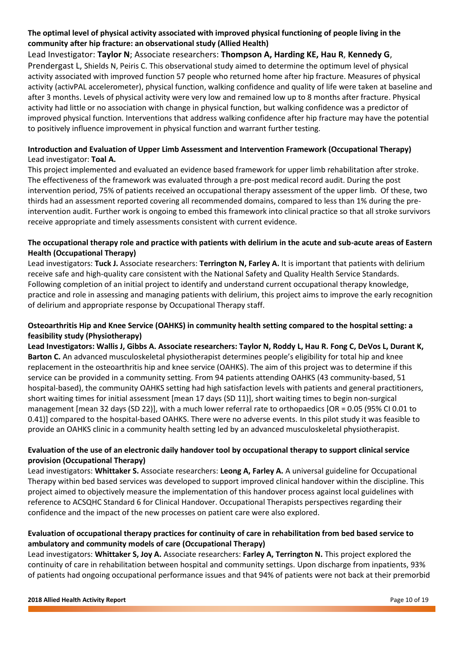# **The optimal level of physical activity associated with improved physical functioning of people living in the community after hip fracture: an observational study (Allied Health)**

Lead Investigator: **Taylor N**; Associate researchers: **Thompson A, Harding KE, Hau R**, **Kennedy G**, Prendergast L, Shields N, Peiris C. This observational study aimed to determine the optimum level of physical activity associated with improved function 57 people who returned home after hip fracture. Measures of physical activity (activPAL accelerometer), physical function, walking confidence and quality of life were taken at baseline and after 3 months. Levels of physical activity were very low and remained low up to 8 months after fracture. Physical activity had little or no association with change in physical function, but walking confidence was a predictor of improved physical function. Interventions that address walking confidence after hip fracture may have the potential to positively influence improvement in physical function and warrant further testing.

# **Introduction and Evaluation of Upper Limb Assessment and Intervention Framework (Occupational Therapy)** Lead investigator: **Toal A.**

This project implemented and evaluated an evidence based framework for upper limb rehabilitation after stroke. The effectiveness of the framework was evaluated through a pre-post medical record audit. During the post intervention period, 75% of patients received an occupational therapy assessment of the upper limb. Of these, two thirds had an assessment reported covering all recommended domains, compared to less than 1% during the preintervention audit. Further work is ongoing to embed this framework into clinical practice so that all stroke survivors receive appropriate and timely assessments consistent with current evidence.

# **The occupational therapy role and practice with patients with delirium in the acute and sub-acute areas of Eastern Health (Occupational Therapy)**

Lead investigators: **Tuck J.** Associate researchers: **Terrington N, Farley A.** It is important that patients with delirium receive safe and high-quality care consistent with the National Safety and Quality Health Service Standards. Following completion of an initial project to identify and understand current occupational therapy knowledge, practice and role in assessing and managing patients with delirium, this project aims to improve the early recognition of delirium and appropriate response by Occupational Therapy staff.

# **Osteoarthritis Hip and Knee Service (OAHKS) in community health setting compared to the hospital setting: a feasibility study (Physiotherapy)**

**Lead Investigators: Wallis J, Gibbs A. Associate researchers: Taylor N, Roddy L, Hau R. Fong C, DeVos L, Durant K, Barton C.** An advanced musculoskeletal physiotherapist determines people's eligibility for total hip and knee replacement in the osteoarthritis hip and knee service (OAHKS). The aim of this project was to determine if this service can be provided in a community setting. From 94 patients attending OAHKS (43 community-based, 51 hospital-based), the community OAHKS setting had high satisfaction levels with patients and general practitioners, short waiting times for initial assessment [mean 17 days (SD 11)], short waiting times to begin non-surgical management [mean 32 days (SD 22)], with a much lower referral rate to orthopaedics [OR = 0.05 (95% CI 0.01 to 0.41)] compared to the hospital-based OAHKS. There were no adverse events. In this pilot study it was feasible to provide an OAHKS clinic in a community health setting led by an advanced musculoskeletal physiotherapist.

## **Evaluation of the use of an electronic daily handover tool by occupational therapy to support clinical service provision (Occupational Therapy)**

Lead investigators: **Whittaker S.** Associate researchers: **Leong A, Farley A.** A universal guideline for Occupational Therapy within bed based services was developed to support improved clinical handover within the discipline. This project aimed to objectively measure the implementation of this handover process against local guidelines with reference to ACSQHC Standard 6 for Clinical Handover. Occupational Therapists perspectives regarding their confidence and the impact of the new processes on patient care were also explored.

## **Evaluation of occupational therapy practices for continuity of care in rehabilitation from bed based service to ambulatory and community models of care (Occupational Therapy)**

Lead investigators: **Whittaker S, Joy A.** Associate researchers: **Farley A, Terrington N.** This project explored the continuity of care in rehabilitation between hospital and community settings. Upon discharge from inpatients, 93% of patients had ongoing occupational performance issues and that 94% of patients were not back at their premorbid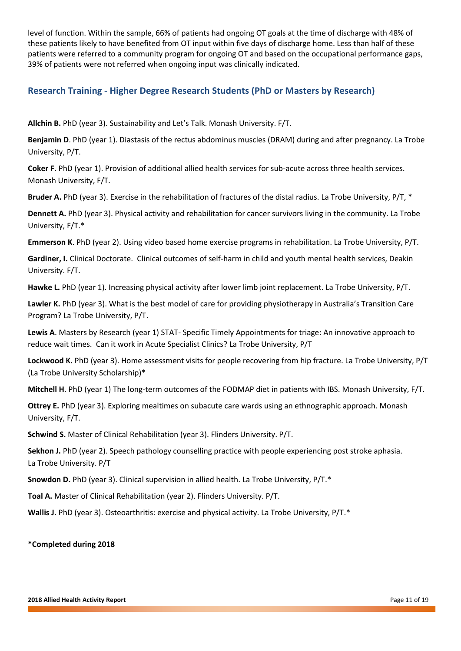level of function. Within the sample, 66% of patients had ongoing OT goals at the time of discharge with 48% of these patients likely to have benefited from OT input within five days of discharge home. Less than half of these patients were referred to a community program for ongoing OT and based on the occupational performance gaps, 39% of patients were not referred when ongoing input was clinically indicated.

# **Research Training - Higher Degree Research Students (PhD or Masters by Research)**

**Allchin B.** PhD (year 3). Sustainability and Let's Talk. Monash University. F/T.

**Benjamin D**. PhD (year 1). Diastasis of the rectus abdominus muscles (DRAM) during and after pregnancy. La Trobe University, P/T.

**Coker F.** PhD (year 1). Provision of additional allied health services for sub-acute across three health services. Monash University, F/T.

**Bruder A.** PhD (year 3). Exercise in the rehabilitation of fractures of the distal radius. La Trobe University, P/T, \*

**Dennett A.** PhD (year 3). Physical activity and rehabilitation for cancer survivors living in the community. La Trobe University, F/T.\*

**Emmerson K**. PhD (year 2). Using video based home exercise programs in rehabilitation. La Trobe University, P/T.

**Gardiner, I.** Clinical Doctorate. Clinical outcomes of self-harm in child and youth mental health services, Deakin University. F/T.

**Hawke L.** PhD (year 1). Increasing physical activity after lower limb joint replacement. La Trobe University, P/T.

**Lawler K.** PhD (year 3). What is the best model of care for providing physiotherapy in Australia's Transition Care Program? La Trobe University, P/T.

**Lewis A**. Masters by Research (year 1) STAT- Specific Timely Appointments for triage: An innovative approach to reduce wait times. Can it work in Acute Specialist Clinics? La Trobe University, P/T

**Lockwood K.** PhD (year 3). Home assessment visits for people recovering from hip fracture. La Trobe University, P/T (La Trobe University Scholarship)\*

**Mitchell H**. PhD (year 1) The long-term outcomes of the FODMAP diet in patients with IBS. Monash University, F/T.

**Ottrey E.** PhD (year 3). Exploring mealtimes on subacute care wards using an ethnographic approach. Monash University, F/T.

**Schwind S.** Master of Clinical Rehabilitation (year 3). Flinders University. P/T.

**Sekhon J.** PhD (year 2). Speech pathology counselling practice with people experiencing post stroke aphasia. La Trobe University. P/T

**Snowdon D.** PhD (year 3). Clinical supervision in allied health. La Trobe University, P/T.\*

**Toal A.** Master of Clinical Rehabilitation (year 2). Flinders University. P/T.

Wallis J. PhD (year 3). Osteoarthritis: exercise and physical activity. La Trobe University, P/T.<sup>\*</sup>

**\*Completed during 2018**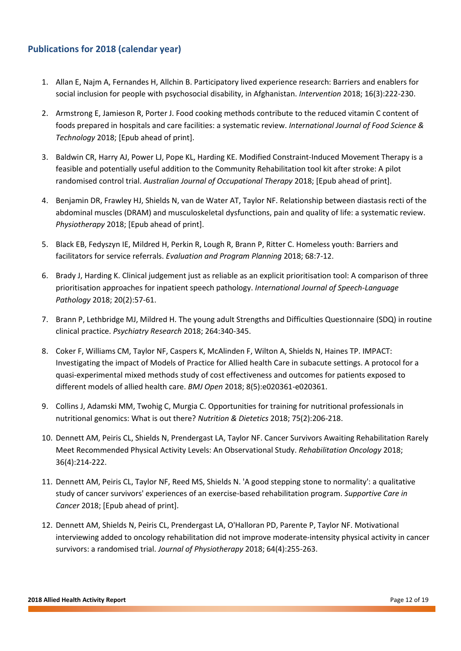# **Publications for 2018 (calendar year)**

- 1. Allan E, Najm A, Fernandes H, Allchin B. Participatory lived experience research: Barriers and enablers for social inclusion for people with psychosocial disability, in Afghanistan. *Intervention* 2018; 16(3):222-230.
- 2. Armstrong E, Jamieson R, Porter J. Food cooking methods contribute to the reduced vitamin C content of foods prepared in hospitals and care facilities: a systematic review. *International Journal of Food Science & Technology* 2018; [Epub ahead of print].
- 3. Baldwin CR, Harry AJ, Power LJ, Pope KL, Harding KE. Modified Constraint-Induced Movement Therapy is a feasible and potentially useful addition to the Community Rehabilitation tool kit after stroke: A pilot randomised control trial. *Australian Journal of Occupational Therapy* 2018; [Epub ahead of print].
- 4. Benjamin DR, Frawley HJ, Shields N, van de Water AT, Taylor NF. Relationship between diastasis recti of the abdominal muscles (DRAM) and musculoskeletal dysfunctions, pain and quality of life: a systematic review. *Physiotherapy* 2018; [Epub ahead of print].
- 5. Black EB, Fedyszyn IE, Mildred H, Perkin R, Lough R, Brann P, Ritter C. Homeless youth: Barriers and facilitators for service referrals. *Evaluation and Program Planning* 2018; 68:7-12.
- 6. Brady J, Harding K. Clinical judgement just as reliable as an explicit prioritisation tool: A comparison of three prioritisation approaches for inpatient speech pathology. *International Journal of Speech-Language Pathology* 2018; 20(2):57-61.
- 7. Brann P, Lethbridge MJ, Mildred H. The young adult Strengths and Difficulties Questionnaire (SDQ) in routine clinical practice. *Psychiatry Research* 2018; 264:340-345.
- 8. Coker F, Williams CM, Taylor NF, Caspers K, McAlinden F, Wilton A, Shields N, Haines TP. IMPACT: Investigating the impact of Models of Practice for Allied health Care in subacute settings. A protocol for a quasi-experimental mixed methods study of cost effectiveness and outcomes for patients exposed to different models of allied health care. *BMJ Open* 2018; 8(5):e020361-e020361.
- 9. Collins J, Adamski MM, Twohig C, Murgia C. Opportunities for training for nutritional professionals in nutritional genomics: What is out there? *Nutrition & Dietetics* 2018; 75(2):206-218.
- 10. Dennett AM, Peiris CL, Shields N, Prendergast LA, Taylor NF. Cancer Survivors Awaiting Rehabilitation Rarely Meet Recommended Physical Activity Levels: An Observational Study. *Rehabilitation Oncology* 2018; 36(4):214-222.
- 11. Dennett AM, Peiris CL, Taylor NF, Reed MS, Shields N. 'A good stepping stone to normality': a qualitative study of cancer survivors' experiences of an exercise-based rehabilitation program. *Supportive Care in Cancer* 2018; [Epub ahead of print].
- 12. Dennett AM, Shields N, Peiris CL, Prendergast LA, O'Halloran PD, Parente P, Taylor NF. Motivational interviewing added to oncology rehabilitation did not improve moderate-intensity physical activity in cancer survivors: a randomised trial. *Journal of Physiotherapy* 2018; 64(4):255-263.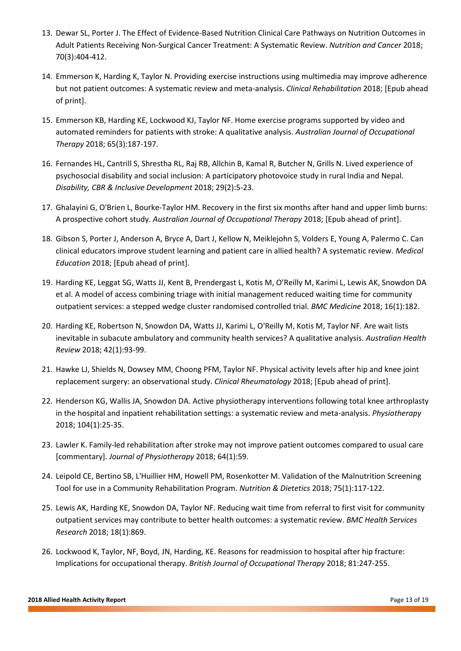- 13. Dewar SL, Porter J. The Effect of Evidence-Based Nutrition Clinical Care Pathways on Nutrition Outcomes in Adult Patients Receiving Non-Surgical Cancer Treatment: A Systematic Review. *Nutrition and Cancer* 2018; 70(3):404-412.
- 14. Emmerson K, Harding K, Taylor N. Providing exercise instructions using multimedia may improve adherence but not patient outcomes: A systematic review and meta-analysis. *Clinical Rehabilitation* 2018; [Epub ahead of print].
- 15. Emmerson KB, Harding KE, Lockwood KJ, Taylor NF. Home exercise programs supported by video and automated reminders for patients with stroke: A qualitative analysis. *Australian Journal of Occupational Therapy* 2018; 65(3):187-197.
- 16. Fernandes HL, Cantrill S, Shrestha RL, Raj RB, Allchin B, Kamal R, Butcher N, Grills N. Lived experience of psychosocial disability and social inclusion: A participatory photovoice study in rural India and Nepal. *Disability, CBR & Inclusive Development* 2018; 29(2):5-23.
- 17. Ghalayini G, O'Brien L, Bourke-Taylor HM. Recovery in the first six months after hand and upper limb burns: A prospective cohort study. *Australian Journal of Occupational Therapy* 2018; [Epub ahead of print].
- 18. Gibson S, Porter J, Anderson A, Bryce A, Dart J, Kellow N, Meiklejohn S, Volders E, Young A, Palermo C. Can clinical educators improve student learning and patient care in allied health? A systematic review. *Medical Education* 2018; [Epub ahead of print].
- 19. Harding KE, Leggat SG, Watts JJ, Kent B, Prendergast L, Kotis M, O'Reilly M, Karimi L, Lewis AK, Snowdon DA et al. A model of access combining triage with initial management reduced waiting time for community outpatient services: a stepped wedge cluster randomised controlled trial. *BMC Medicine* 2018; 16(1):182.
- 20. Harding KE, Robertson N, Snowdon DA, Watts JJ, Karimi L, O'Reilly M, Kotis M, Taylor NF. Are wait lists inevitable in subacute ambulatory and community health services? A qualitative analysis. *Australian Health Review* 2018; 42(1):93-99.
- 21. Hawke LJ, Shields N, Dowsey MM, Choong PFM, Taylor NF. Physical activity levels after hip and knee joint replacement surgery: an observational study. *Clinical Rheumatology* 2018; [Epub ahead of print].
- 22. Henderson KG, Wallis JA, Snowdon DA. Active physiotherapy interventions following total knee arthroplasty in the hospital and inpatient rehabilitation settings: a systematic review and meta-analysis. *Physiotherapy*  2018; 104(1):25-35.
- 23. Lawler K. Family-led rehabilitation after stroke may not improve patient outcomes compared to usual care [commentary]. *Journal of Physiotherapy* 2018; 64(1):59.
- 24. Leipold CE, Bertino SB, L'Huillier HM, Howell PM, Rosenkotter M. Validation of the Malnutrition Screening Tool for use in a Community Rehabilitation Program. *Nutrition & Dietetics* 2018; 75(1):117-122.
- 25. Lewis AK, Harding KE, Snowdon DA, Taylor NF. Reducing wait time from referral to first visit for community outpatient services may contribute to better health outcomes: a systematic review. *BMC Health Services Research* 2018; 18(1):869.
- 26. Lockwood K, Taylor, NF, Boyd, JN, Harding, KE. Reasons for readmission to hospital after hip fracture: Implications for occupational therapy. *British Journal of Occupational Therapy* 2018; 81:247-255.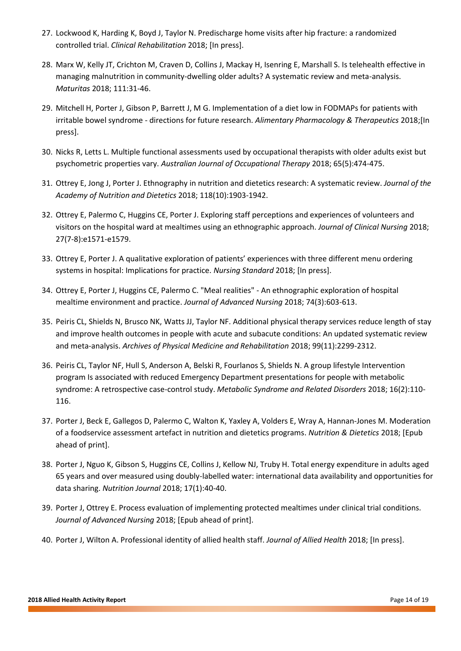- 27. Lockwood K, Harding K, Boyd J, Taylor N. Predischarge home visits after hip fracture: a randomized controlled trial. *Clinical Rehabilitation* 2018; [In press].
- 28. Marx W, Kelly JT, Crichton M, Craven D, Collins J, Mackay H, Isenring E, Marshall S. Is telehealth effective in managing malnutrition in community-dwelling older adults? A systematic review and meta-analysis. *Maturitas* 2018; 111:31-46.
- 29. Mitchell H, Porter J, Gibson P, Barrett J, M G. Implementation of a diet low in FODMAPs for patients with irritable bowel syndrome - directions for future research. *Alimentary Pharmacology & Therapeutics* 2018;[In press].
- 30. Nicks R, Letts L. Multiple functional assessments used by occupational therapists with older adults exist but psychometric properties vary. *Australian Journal of Occupational Therapy* 2018; 65(5):474-475.
- 31. Ottrey E, Jong J, Porter J. Ethnography in nutrition and dietetics research: A systematic review. *Journal of the Academy of Nutrition and Dietetics* 2018; 118(10):1903-1942.
- 32. Ottrey E, Palermo C, Huggins CE, Porter J. Exploring staff perceptions and experiences of volunteers and visitors on the hospital ward at mealtimes using an ethnographic approach. *Journal of Clinical Nursing* 2018; 27(7-8):e1571-e1579.
- 33. Ottrey E, Porter J. A qualitative exploration of patients' experiences with three different menu ordering systems in hospital: Implications for practice. *Nursing Standard* 2018; [In press].
- 34. Ottrey E, Porter J, Huggins CE, Palermo C. "Meal realities" An ethnographic exploration of hospital mealtime environment and practice. *Journal of Advanced Nursing* 2018; 74(3):603-613.
- 35. Peiris CL, Shields N, Brusco NK, Watts JJ, Taylor NF. Additional physical therapy services reduce length of stay and improve health outcomes in people with acute and subacute conditions: An updated systematic review and meta-analysis. *Archives of Physical Medicine and Rehabilitation* 2018; 99(11):2299-2312.
- 36. Peiris CL, Taylor NF, Hull S, Anderson A, Belski R, Fourlanos S, Shields N. A group lifestyle Intervention program Is associated with reduced Emergency Department presentations for people with metabolic syndrome: A retrospective case-control study. *Metabolic Syndrome and Related Disorders* 2018; 16(2):110- 116.
- 37. Porter J, Beck E, Gallegos D, Palermo C, Walton K, Yaxley A, Volders E, Wray A, Hannan‐Jones M. Moderation of a foodservice assessment artefact in nutrition and dietetics programs. *Nutrition & Dietetics* 2018; [Epub ahead of print].
- 38. Porter J, Nguo K, Gibson S, Huggins CE, Collins J, Kellow NJ, Truby H. Total energy expenditure in adults aged 65 years and over measured using doubly-labelled water: international data availability and opportunities for data sharing. *Nutrition Journal* 2018; 17(1):40-40.
- 39. Porter J, Ottrey E. Process evaluation of implementing protected mealtimes under clinical trial conditions. *Journal of Advanced Nursing* 2018; [Epub ahead of print].
- 40. Porter J, Wilton A. Professional identity of allied health staff. *Journal of Allied Health* 2018; [In press].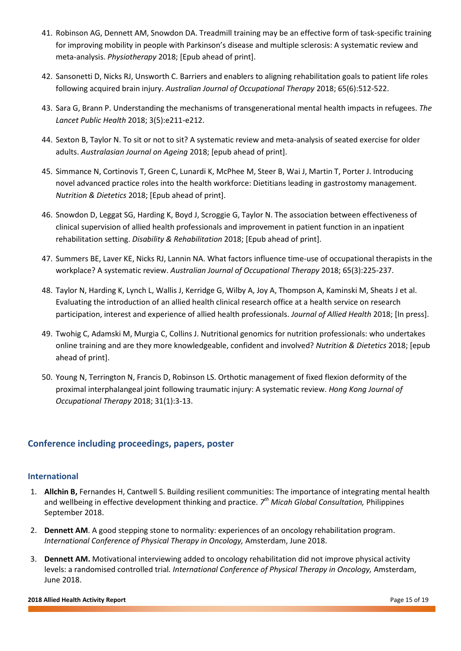- 41. Robinson AG, Dennett AM, Snowdon DA. Treadmill training may be an effective form of task-specific training for improving mobility in people with Parkinson's disease and multiple sclerosis: A systematic review and meta-analysis. *Physiotherapy* 2018; [Epub ahead of print].
- 42. Sansonetti D, Nicks RJ, Unsworth C. Barriers and enablers to aligning rehabilitation goals to patient life roles following acquired brain injury. *Australian Journal of Occupational Therapy* 2018; 65(6):512-522.
- 43. Sara G, Brann P. Understanding the mechanisms of transgenerational mental health impacts in refugees. *The Lancet Public Health* 2018; 3(5):e211-e212.
- 44. Sexton B, Taylor N. To sit or not to sit? A systematic review and meta-analysis of seated exercise for older adults. *Australasian Journal on Ageing* 2018; [epub ahead of print].
- 45. Simmance N, Cortinovis T, Green C, Lunardi K, McPhee M, Steer B, Wai J, Martin T, Porter J. Introducing novel advanced practice roles into the health workforce: Dietitians leading in gastrostomy management. *Nutrition & Dietetics* 2018; [Epub ahead of print].
- 46. Snowdon D, Leggat SG, Harding K, Boyd J, Scroggie G, Taylor N. The association between effectiveness of clinical supervision of allied health professionals and improvement in patient function in an inpatient rehabilitation setting. *Disability & Rehabilitation* 2018; [Epub ahead of print].
- 47. Summers BE, Laver KE, Nicks RJ, Lannin NA. What factors influence time-use of occupational therapists in the workplace? A systematic review. *Australian Journal of Occupational Therapy* 2018; 65(3):225-237.
- 48. Taylor N, Harding K, Lynch L, Wallis J, Kerridge G, Wilby A, Joy A, Thompson A, Kaminski M, Sheats J et al. Evaluating the introduction of an allied health clinical research office at a health service on research participation, interest and experience of allied health professionals. *Journal of Allied Health* 2018; [In press].
- 49. Twohig C, Adamski M, Murgia C, Collins J. Nutritional genomics for nutrition professionals: who undertakes online training and are they more knowledgeable, confident and involved? *Nutrition & Dietetics* 2018; [epub ahead of print].
- 50. Young N, Terrington N, Francis D, Robinson LS. Orthotic management of fixed flexion deformity of the proximal interphalangeal joint following traumatic injury: A systematic review. *Hong Kong Journal of Occupational Therapy* 2018; 31(1):3-13.

# **Conference including proceedings, papers, poster**

#### **International**

- 1. **Allchin B,** Fernandes H, Cantwell S. Building resilient communities: The importance of integrating mental health and wellbeing in effective development thinking and practice. *7 th Micah Global Consultation,* Philippines September 2018.
- 2. **Dennett AM**. A good stepping stone to normality: experiences of an oncology rehabilitation program. *International Conference of Physical Therapy in Oncology,* Amsterdam, June 2018.
- 3. **Dennett AM.** Motivational interviewing added to oncology rehabilitation did not improve physical activity levels: a randomised controlled trial*. International Conference of Physical Therapy in Oncology,* Amsterdam, June 2018.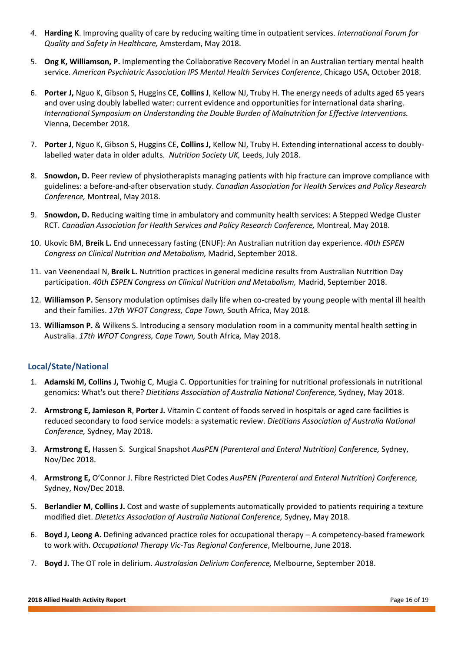- *4.* **Harding K**. Improving quality of care by reducing waiting time in outpatient services. *International Forum for Quality and Safety in Healthcare,* Amsterdam, May 2018.
- 5. **Ong K, Williamson, P.** Implementing the Collaborative Recovery Model in an Australian tertiary mental health service. *American Psychiatric Association IPS Mental Health Services Conference*, Chicago USA, October 2018.
- 6. **Porter J,** Nguo K, Gibson S, Huggins CE, **Collins J**, Kellow NJ, Truby H. The energy needs of adults aged 65 years and over using doubly labelled water: current evidence and opportunities for international data sharing. *International Symposium on Understanding the Double Burden of Malnutrition for Effective Interventions.*  Vienna, December 2018.
- 7. **Porter J**, Nguo K, Gibson S, Huggins CE, **Collins J,** Kellow NJ, Truby H. Extending international access to doublylabelled water data in older adults. *Nutrition Society UK,* Leeds, July 2018.
- 8. **Snowdon, D.** Peer review of physiotherapists managing patients with hip fracture can improve compliance with guidelines: a before-and-after observation study. *Canadian Association for Health Services and Policy Research Conference,* Montreal, May 2018.
- 9. **Snowdon, D.** Reducing waiting time in ambulatory and community health services: A Stepped Wedge Cluster RCT. *Canadian Association for Health Services and Policy Research Conference,* Montreal, May 2018.
- 10. Ukovic BM, **Breik L.** End unnecessary fasting (ENUF): An Australian nutrition day experience. *40th ESPEN Congress on Clinical Nutrition and Metabolism,* Madrid, September 2018.
- 11. van Veenendaal N, **Breik L.** Nutrition practices in general medicine results from Australian Nutrition Day participation. *40th ESPEN Congress on Clinical Nutrition and Metabolism,* Madrid, September 2018.
- 12. **Williamson P.** Sensory modulation optimises daily life when co-created by young people with mental ill health and their families. *17th WFOT Congress, Cape Town,* South Africa, May 2018.
- 13. **Williamson P.** & Wilkens S. Introducing a sensory modulation room in a community mental health setting in Australia. *17th WFOT Congress, Cape Town,* South Africa*,* May 2018.

## **Local/State/National**

- 1. **Adamski M, Collins J,** Twohig C, Mugia C. Opportunities for training for nutritional professionals in nutritional genomics: What's out there? *Dietitians Association of Australia National Conference,* Sydney, May 2018.
- 2. **Armstrong E, Jamieson R**, **Porter J.** Vitamin C content of foods served in hospitals or aged care facilities is reduced secondary to food service models: a systematic review. *Dietitians Association of Australia National Conference,* Sydney, May 2018.
- 3. **Armstrong E,** Hassen S. Surgical Snapshot *AusPEN (Parenteral and Enteral Nutrition) Conference,* Sydney, Nov/Dec 2018.
- 4. **Armstrong E,** O'Connor J. Fibre Restricted Diet Codes *AusPEN (Parenteral and Enteral Nutrition) Conference,*  Sydney, Nov/Dec 2018.
- 5. **Berlandier M**, **Collins J.** Cost and waste of supplements automatically provided to patients requiring a texture modified diet. *Dietetics Association of Australia National Conference,* Sydney, May 2018.
- 6. **Boyd J, Leong A.** Defining advanced practice roles for occupational therapy A competency-based framework to work with. *Occupational Therapy Vic-Tas Regional Conference*, Melbourne, June 2018.
- 7. **Boyd J.** The OT role in delirium. *Australasian Delirium Conference,* Melbourne, September 2018.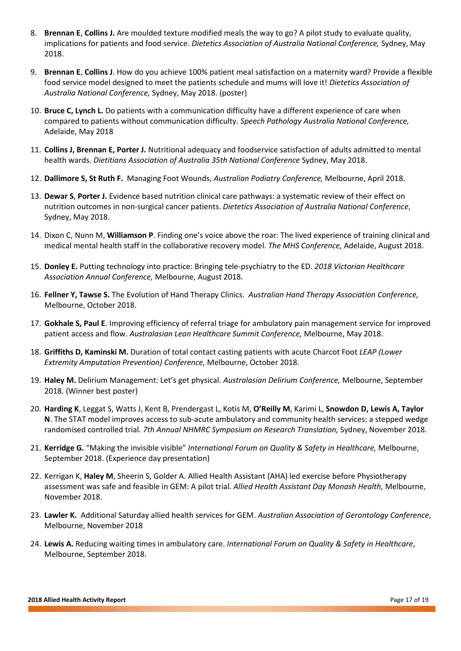- 8. **Brennan E**, **Collins J.** Are moulded texture modified meals the way to go? A pilot study to evaluate quality, implications for patients and food service. *Dietetics Association of Australia National Conference,* Sydney, May 2018.
- 9. **Brennan E**, **Collins J**. How do you achieve 100% patient meal satisfaction on a maternity ward? Provide a flexible food service model designed to meet the patients schedule and mums will love it! *Dietetics Association of Australia National Conference,* Sydney, May 2018. (poster)
- 10. **Bruce C, Lynch L.** Do patients with a communication difficulty have a different experience of care when compared to patients without communication difficulty. *Speech Pathology Australia National Conference,* Adelaide, May 2018
- 11. **Collins J, Brennan E, Porter J.** Nutritional adequacy and foodservice satisfaction of adults admitted to mental health wards. *Dietitians Association of Australia 35th National Conference* Sydney, May 2018.
- 12. **Dallimore S, St Ruth F.** Managing Foot Wounds, *Australian Podiatry Conference,* Melbourne, April 2018.
- 13. **Dewar S**, **Porter J.** Evidence based nutrition clinical care pathways: a systematic review of their effect on nutrition outcomes in non-surgical cancer patients. *Dietetics Association of Australia National Conference*, Sydney, May 2018.
- 14. Dixon C, Nunn M, **Williamson P**. Finding one's voice above the roar: The lived experience of training clinical and medical mental health staff in the collaborative recovery model. *The MHS Conference,* Adelaide, August 2018.
- 15. **Donley E.** Putting technology into practice: Bringing tele-psychiatry to the ED. *2018 Victorian Healthcare Association Annual Conference,* Melbourne, August 2018.
- 16. **Fellner Y, Tawse S.** The Evolution of Hand Therapy Clinics. *Australian Hand Therapy Association Conference,* Melbourne, October 2018.
- 17. **Gokhale S, Paul E**. Improving efficiency of referral triage for ambulatory pain management service for improved patient access and flow. *Australasian Lean Healthcare Summit Conference,* Melbourne, May 2018.
- 18. **Griffiths D, Kaminski M.** Duration of total contact casting patients with acute Charcot Foot *LEAP (Lower Extremity Amputation Prevention) Conference,* Melbourne, October 2018.
- 19. **Haley M.** Delirium Management: Let's get physical. *Australasian Delirium Conference,* Melbourne, September 2018. (Winner best poster)
- 20. **Harding K**, Leggat S, Watts J, Kent B, Prendergast L, Kotis M, **O'Reilly M**, Karimi L, **Snowdon D, Lewis A, Taylor N**. The STAT model improves access to sub-acute ambulatory and community health services: a stepped wedge randomised controlled trial. *7th Annual NHMRC Symposium on Research Translation,* Sydney, November 2018.
- 21. **Kerridge G.** "Making the invisible visible" *International Forum on Quality & Safety in Healthcare,* Melbourne, September 2018. (Experience day presentation)
- 22. Kerrigan K, **Haley M**, Sheerin S, Golder A. Allied Health Assistant (AHA) led exercise before Physiotherapy assessment was safe and feasible in GEM: A pilot trial. *Allied Health Assistant Day Monash Health,* Melbourne, November 2018.
- 23. **Lawler K.** Additional Saturday allied health services for GEM. *Australian Association of Gerontology Conference*, Melbourne, November 2018
- 24. **Lewis A.** Reducing waiting times in ambulatory care. *International Forum on Quality & Safety in Healthcare*, Melbourne, September 2018.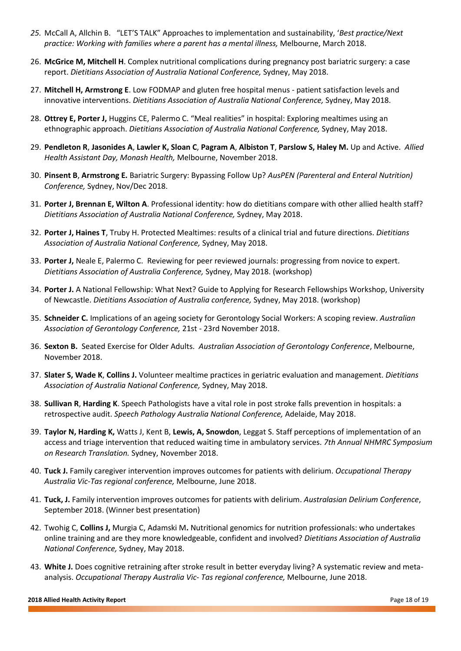- *25.* McCall A, Allchin B. "LET'S TALK" Approaches to implementation and sustainability, '*Best practice/Next practice: Working with families where a parent has a mental illness,* Melbourne, March 2018.
- 26. **McGrice M, Mitchell H**. Complex nutritional complications during pregnancy post bariatric surgery: a case report. *Dietitians Association of Australia National Conference,* Sydney, May 2018.
- 27. **Mitchell H, Armstrong E**. Low FODMAP and gluten free hospital menus patient satisfaction levels and innovative interventions. *Dietitians Association of Australia National Conference,* Sydney, May 2018.
- 28. **Ottrey E, Porter J,** Huggins CE, Palermo C. "Meal realities" in hospital: Exploring mealtimes using an ethnographic approach. *Dietitians Association of Australia National Conference,* Sydney, May 2018.
- 29. **Pendleton R**, **Jasonides A**, **Lawler K, Sloan C**, **Pagram A**, **Albiston T**, **Parslow S, Haley M.** Up and Active. *Allied Health Assistant Day, Monash Health,* Melbourne, November 2018.
- 30. **Pinsent B**, **Armstrong E.** Bariatric Surgery: Bypassing Follow Up? *AusPEN (Parenteral and Enteral Nutrition) Conference,* Sydney, Nov/Dec 2018.
- 31. **Porter J, Brennan E, Wilton A**. Professional identity: how do dietitians compare with other allied health staff? *Dietitians Association of Australia National Conference,* Sydney, May 2018.
- 32. **Porter J, Haines T**, Truby H. Protected Mealtimes: results of a clinical trial and future directions. *Dietitians Association of Australia National Conference,* Sydney, May 2018.
- 33. **Porter J,** Neale E, Palermo C. Reviewing for peer reviewed journals: progressing from novice to expert. *Dietitians Association of Australia Conference,* Sydney, May 2018. (workshop)
- 34. **Porter J.** A National Fellowship: What Next? Guide to Applying for Research Fellowships Workshop, University of Newcastle. *Dietitians Association of Australia conference,* Sydney, May 2018. (workshop)
- 35. **Schneider C.** Implications of an ageing society for Gerontology Social Workers: A scoping review. *Australian Association of Gerontology Conference,* 21st - 23rd November 2018.
- 36. **Sexton B.** Seated Exercise for Older Adults. *Australian Association of Gerontology Conference*, Melbourne, November 2018.
- 37. **Slater S, Wade K**, **Collins J.** Volunteer mealtime practices in geriatric evaluation and management. *Dietitians Association of Australia National Conference,* Sydney, May 2018.
- 38. **Sullivan R**, **Harding K**. Speech Pathologists have a vital role in post stroke falls prevention in hospitals: a retrospective audit. *Speech Pathology Australia National Conference,* Adelaide, May 2018.
- 39. **Taylor N, Harding K,** Watts J, Kent B, **Lewis, A, Snowdon**, Leggat S. Staff perceptions of implementation of an access and triage intervention that reduced waiting time in ambulatory services. *7th Annual NHMRC Symposium on Research Translation.* Sydney, November 2018.
- 40. **Tuck J.** Family caregiver intervention improves outcomes for patients with delirium. *Occupational Therapy Australia Vic-Tas regional conference,* Melbourne, June 2018.
- 41. **Tuck, J.** Family intervention improves outcomes for patients with delirium. *Australasian Delirium Conference*, September 2018. (Winner best presentation)
- 42. Twohig C, **Collins J,** Murgia C, Adamski M**.** Nutritional genomics for nutrition professionals: who undertakes online training and are they more knowledgeable, confident and involved? *Dietitians Association of Australia National Conference,* Sydney, May 2018.
- 43. **White J.** Does cognitive retraining after stroke result in better everyday living? A systematic review and metaanalysis. *Occupational Therapy Australia Vic- Tas regional conference,* Melbourne, June 2018.

#### **2018 Allied Health Activity Report** Page 18 of 19